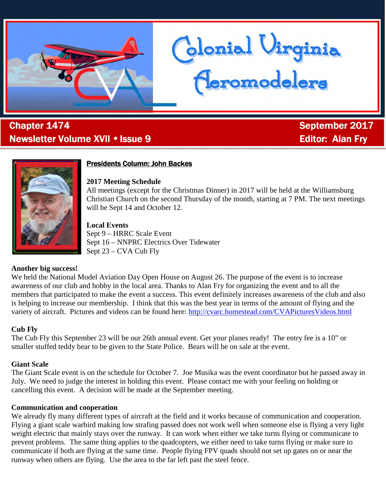

# . **Chapter 1474** September 2017 Newsletter Volume XVII • Issue 9 Editor: Editor: Alan Fry



# **Presidents Column: John Backes**

**2017 Meeting Schedule** 

All meetings (except for the Christmas Dinner) in 2017 will be held at the Williamsburg Christian Church on the second Thursday of the month, starting at 7 PM. The next meetings will be Sept 14 and October 12.

Glonial Uirginia<br>Ceromodelers

#### **Local Events**

Sept 9 – HRRC Scale Event Sept 16 – NNPRC Electrics Over Tidewater Sept 23 – CVA Cub Fly

#### **Another big success!**

We held the National Model Aviation Day Open House on August 26. The purpose of the event is to increase awareness of our club and hobby in the local area. Thanks to Alan Fry for organizing the event and to all the members that participated to make the event a success. This event definitely increases awareness of the club and also is helping to increase our membership. I think that this was the best year in terms of the amount of flying and the variety of aircraft. Pictures and videos can be found here: http://cvarc.homestead.com/CVAPicturesVideos.html 1474 September Issue 9 Editor: Alan Fry

## **Cub Fly**

The Cub Fly this September 23 will be our 26th annual event. Get your planes ready! The entry fee is a 10" or smaller stuffed teddy bear to be given to the State Police. Bears will be on sale at the event.

## **Giant Scale**

The Giant Scale event is on the schedule for October 7. Joe Musika was the event coordinator but he passed away in July. We need to judge the interest in holding this event. Please contact me with your feeling on holding or cancelling this event. A decision will be made at the September meeting.

#### **Communication and cooperation**

We already fly many different types of aircraft at the field and it works because of communication and cooperation. Flying a giant scale warbird making low strafing passed does not work well when someone else is flying a very light weight electric that mainly stays over the runway. It can work when either we take turns flying or communicate to prevent problems. The same thing applies to the quadcopters, we either need to take turns flying or make sure to communicate if both are flying at the same time. People flying FPV quads should not set up gates on or near the runway when others are flying. Use the area to the far left past the steel fence.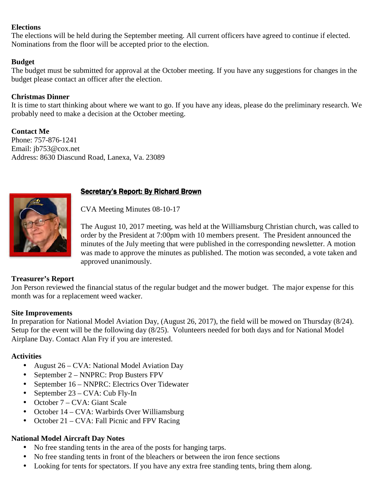#### **Elections**

The elections will be held during the September meeting. All current officers have agreed to continue if elected. Nominations from the floor will be accepted prior to the election.

## **Budget**

The budget must be submitted for approval at the October meeting. If you have any suggestions for changes in the budget please contact an officer after the election.

#### **Christmas Dinner**

It is time to start thinking about where we want to go. If you have any ideas, please do the preliminary research. We probably need to make a decision at the October meeting.

**Contact Me**  Phone: 757-876-1241 Email: jb753@cox.net Address: 8630 Diascund Road, Lanexa, Va. 23089



# Secretary's Report: By Richard Brown

CVA Meeting Minutes 08-10-17

The August 10, 2017 meeting, was held at the Williamsburg Christian church, was called to order by the President at 7:00pm with 10 members present. The President announced the minutes of the July meeting that were published in the corresponding newsletter. A motion was made to approve the minutes as published. The motion was seconded, a vote taken and approved unanimously.

## **Treasurer's Report**

Jon Person reviewed the financial status of the regular budget and the mower budget. The major expense for this month was for a replacement weed wacker.

#### **Site Improvements**

In preparation for National Model Aviation Day, (August 26, 2017), the field will be mowed on Thursday (8/24). Setup for the event will be the following day (8/25). Volunteers needed for both days and for National Model Airplane Day. Contact Alan Fry if you are interested.

## **Activities**

- August 26 CVA: National Model Aviation Day
- September 2 NNPRC: Prop Busters FPV
- September 16 NNPRC: Electrics Over Tidewater
- September 23 CVA: Cub Fly-In
- October 7 CVA: Giant Scale
- October 14 CVA: Warbirds Over Williamsburg
- October 21 CVA: Fall Picnic and FPV Racing

## **National Model Aircraft Day Notes**

- No free standing tents in the area of the posts for hanging tarps.
- No free standing tents in front of the bleachers or between the iron fence sections
- Looking for tents for spectators. If you have any extra free standing tents, bring them along.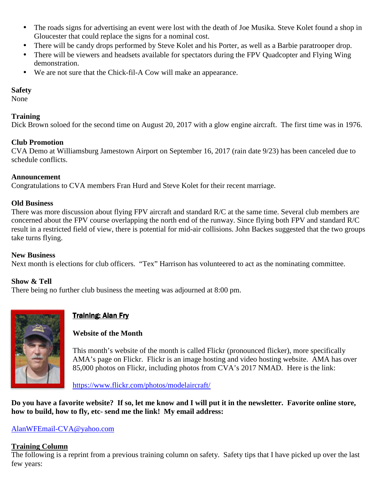- The roads signs for advertising an event were lost with the death of Joe Musika. Steve Kolet found a shop in Gloucester that could replace the signs for a nominal cost.
- There will be candy drops performed by Steve Kolet and his Porter, as well as a Barbie paratrooper drop.
- There will be viewers and headsets available for spectators during the FPV Quadcopter and Flying Wing demonstration.
- We are not sure that the Chick-fil-A Cow will make an appearance.

## **Safety**

None

## **Training**

Dick Brown soloed for the second time on August 20, 2017 with a glow engine aircraft. The first time was in 1976.

# **Club Promotion**

CVA Demo at Williamsburg Jamestown Airport on September 16, 2017 (rain date 9/23) has been canceled due to schedule conflicts.

## **Announcement**

Congratulations to CVA members Fran Hurd and Steve Kolet for their recent marriage.

## **Old Business**

There was more discussion about flying FPV aircraft and standard R/C at the same time. Several club members are concerned about the FPV course overlapping the north end of the runway. Since flying both FPV and standard R/C result in a restricted field of view, there is potential for mid-air collisions. John Backes suggested that the two groups take turns flying.

## **New Business**

Next month is elections for club officers. "Tex" Harrison has volunteered to act as the nominating committee.

## **Show & Tell**

There being no further club business the meeting was adjourned at 8:00 pm.



# Training: Alan Fry

# **Website of the Month**

This month's website of the month is called Flickr (pronounced flicker), more specifically AMA's page on Flickr. Flickr is an image hosting and video hosting website. AMA has over 85,000 photos on Flickr, including photos from CVA's 2017 NMAD. Here is the link:

https://www.flickr.com/photos/modelaircraft/

**Do you have a favorite website? If so, let me know and I will put it in the newsletter. Favorite online store, how to build, how to fly, etc- send me the link! My email address:** 

## AlanWFEmail-CVA@yahoo.com

## **Training Column**

The following is a reprint from a previous training column on safety. Safety tips that I have picked up over the last few years: